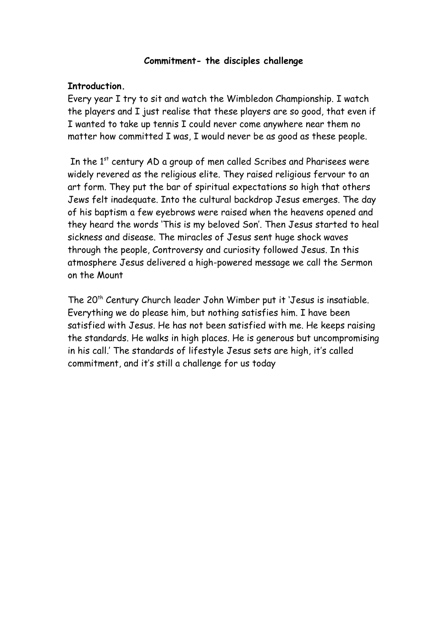#### **Commitment- the disciples challenge**

#### **Introduction.**

Every year I try to sit and watch the Wimbledon Championship. I watch the players and I just realise that these players are so good, that even if I wanted to take up tennis I could never come anywhere near them no matter how committed I was, I would never be as good as these people.

In the 1<sup>st</sup> century AD a group of men called Scribes and Pharisees were widely revered as the religious elite. They raised religious fervour to an art form. They put the bar of spiritual expectations so high that others Jews felt inadequate. Into the cultural backdrop Jesus emerges. The day of his baptism a few eyebrows were raised when the heavens opened and they heard the words 'This is my beloved Son'. Then Jesus started to heal sickness and disease. The miracles of Jesus sent huge shock waves through the people, Controversy and curiosity followed Jesus. In this atmosphere Jesus delivered a high-powered message we call the Sermon on the Mount

The 20<sup>th</sup> Century Church leader John Wimber put it 'Jesus is insatiable. Everything we do please him, but nothing satisfies him. I have been satisfied with Jesus. He has not been satisfied with me. He keeps raising the standards. He walks in high places. He is generous but uncompromising in his call.' The standards of lifestyle Jesus sets are high, it's called commitment, and it's still a challenge for us today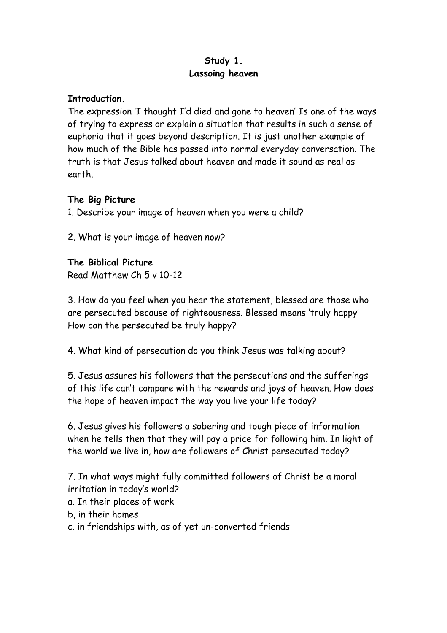## **Study 1. Lassoing heaven**

### **Introduction.**

The expression 'I thought I'd died and gone to heaven' Is one of the ways of trying to express or explain a situation that results in such a sense of euphoria that it goes beyond description. It is just another example of how much of the Bible has passed into normal everyday conversation. The truth is that Jesus talked about heaven and made it sound as real as earth.

## **The Big Picture**

1. Describe your image of heaven when you were a child?

2. What is your image of heaven now?

#### **The Biblical Picture**

Read Matthew Ch 5 v 10-12

3. How do you feel when you hear the statement, blessed are those who are persecuted because of righteousness. Blessed means 'truly happy' How can the persecuted be truly happy?

4. What kind of persecution do you think Jesus was talking about?

5. Jesus assures his followers that the persecutions and the sufferings of this life can't compare with the rewards and joys of heaven. How does the hope of heaven impact the way you live your life today?

6. Jesus gives his followers a sobering and tough piece of information when he tells then that they will pay a price for following him. In light of the world we live in, how are followers of Christ persecuted today?

7. In what ways might fully committed followers of Christ be a moral irritation in today's world?

- a. In their places of work
- b, in their homes
- c. in friendships with, as of yet un-converted friends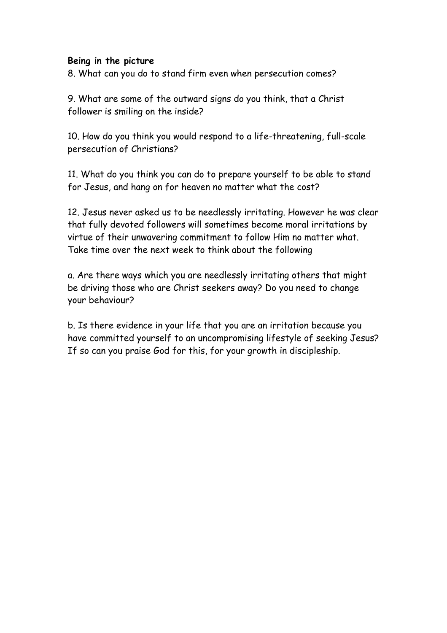#### **Being in the picture**

8. What can you do to stand firm even when persecution comes?

9. What are some of the outward signs do you think, that a Christ follower is smiling on the inside?

10. How do you think you would respond to a life-threatening, full-scale persecution of Christians?

11. What do you think you can do to prepare yourself to be able to stand for Jesus, and hang on for heaven no matter what the cost?

12. Jesus never asked us to be needlessly irritating. However he was clear that fully devoted followers will sometimes become moral irritations by virtue of their unwavering commitment to follow Him no matter what. Take time over the next week to think about the following

a. Are there ways which you are needlessly irritating others that might be driving those who are Christ seekers away? Do you need to change your behaviour?

b. Is there evidence in your life that you are an irritation because you have committed yourself to an uncompromising lifestyle of seeking Jesus? If so can you praise God for this, for your growth in discipleship.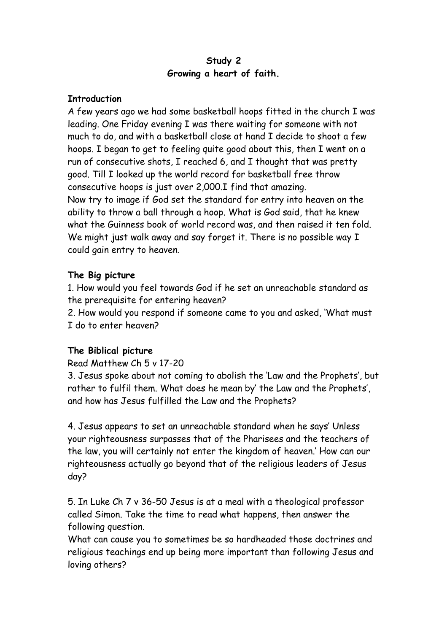### **Study 2 Growing a heart of faith.**

#### **Introduction**

A few years ago we had some basketball hoops fitted in the church I was leading. One Friday evening I was there waiting for someone with not much to do, and with a basketball close at hand I decide to shoot a few hoops. I began to get to feeling quite good about this, then I went on a run of consecutive shots, I reached 6, and I thought that was pretty good. Till I looked up the world record for basketball free throw consecutive hoops is just over 2,000.I find that amazing. Now try to image if God set the standard for entry into heaven on the ability to throw a ball through a hoop. What is God said, that he knew what the Guinness book of world record was, and then raised it ten fold. We might just walk away and say forget it. There is no possible way I could gain entry to heaven.

## **The Big picture**

1. How would you feel towards God if he set an unreachable standard as the prerequisite for entering heaven?

2. How would you respond if someone came to you and asked, 'What must I do to enter heaven?

## **The Biblical picture**

## Read Matthew Ch 5 v 17-20

3. Jesus spoke about not coming to abolish the 'Law and the Prophets', but rather to fulfil them. What does he mean by' the Law and the Prophets', and how has Jesus fulfilled the Law and the Prophets?

4. Jesus appears to set an unreachable standard when he says' Unless your righteousness surpasses that of the Pharisees and the teachers of the law, you will certainly not enter the kingdom of heaven.' How can our righteousness actually go beyond that of the religious leaders of Jesus day?

5. In Luke Ch 7 v 36-50 Jesus is at a meal with a theological professor called Simon. Take the time to read what happens, then answer the following question.

What can cause you to sometimes be so hardheaded those doctrines and religious teachings end up being more important than following Jesus and loving others?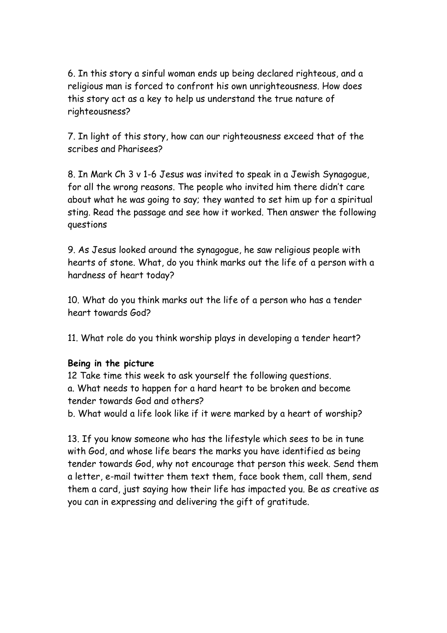6. In this story a sinful woman ends up being declared righteous, and a religious man is forced to confront his own unrighteousness. How does this story act as a key to help us understand the true nature of righteousness?

7. In light of this story, how can our righteousness exceed that of the scribes and Pharisees?

8. In Mark Ch 3 v 1-6 Jesus was invited to speak in a Jewish Synagogue, for all the wrong reasons. The people who invited him there didn't care about what he was going to say; they wanted to set him up for a spiritual sting. Read the passage and see how it worked. Then answer the following questions

9. As Jesus looked around the synagogue, he saw religious people with hearts of stone. What, do you think marks out the life of a person with a hardness of heart today?

10. What do you think marks out the life of a person who has a tender heart towards God?

11. What role do you think worship plays in developing a tender heart?

#### **Being in the picture**

12 Take time this week to ask yourself the following questions. a. What needs to happen for a hard heart to be broken and become tender towards God and others?

b. What would a life look like if it were marked by a heart of worship?

13. If you know someone who has the lifestyle which sees to be in tune with God, and whose life bears the marks you have identified as being tender towards God, why not encourage that person this week. Send them a letter, e-mail twitter them text them, face book them, call them, send them a card, just saying how their life has impacted you. Be as creative as you can in expressing and delivering the gift of gratitude.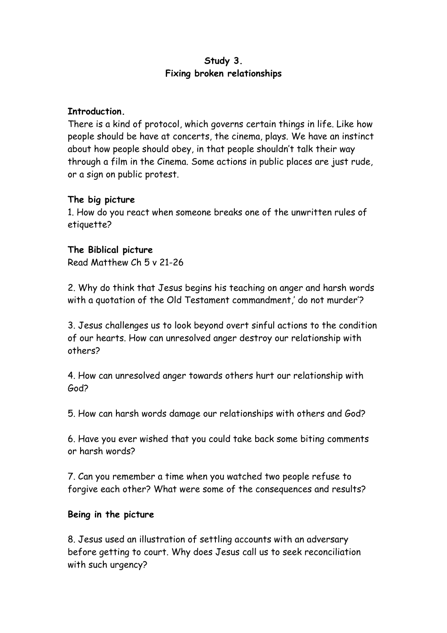## **Study 3. Fixing broken relationships**

#### **Introduction.**

There is a kind of protocol, which governs certain things in life. Like how people should be have at concerts, the cinema, plays. We have an instinct about how people should obey, in that people shouldn't talk their way through a film in the Cinema. Some actions in public places are just rude, or a sign on public protest.

#### **The big picture**

1. How do you react when someone breaks one of the unwritten rules of etiquette?

#### **The Biblical picture**

Read Matthew Ch 5 v 21-26

2. Why do think that Jesus begins his teaching on anger and harsh words with a quotation of the Old Testament commandment,' do not murder'?

3. Jesus challenges us to look beyond overt sinful actions to the condition of our hearts. How can unresolved anger destroy our relationship with others?

4. How can unresolved anger towards others hurt our relationship with God?

5. How can harsh words damage our relationships with others and God?

6. Have you ever wished that you could take back some biting comments or harsh words?

7. Can you remember a time when you watched two people refuse to forgive each other? What were some of the consequences and results?

## **Being in the picture**

8. Jesus used an illustration of settling accounts with an adversary before getting to court. Why does Jesus call us to seek reconciliation with such urgency?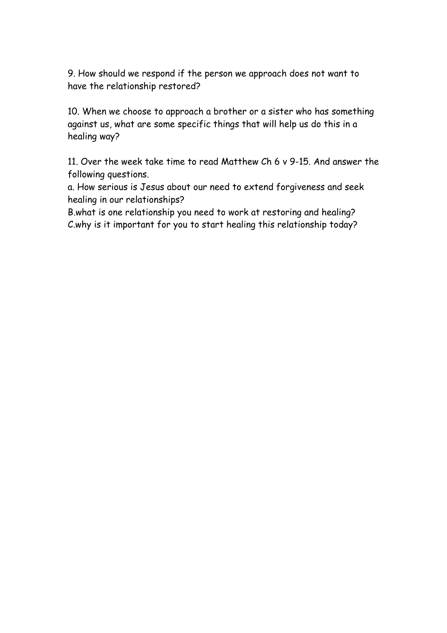9. How should we respond if the person we approach does not want to have the relationship restored?

10. When we choose to approach a brother or a sister who has something against us, what are some specific things that will help us do this in a healing way?

11. Over the week take time to read Matthew Ch 6 v 9-15. And answer the following questions.

a. How serious is Jesus about our need to extend forgiveness and seek healing in our relationships?

B.what is one relationship you need to work at restoring and healing? C.why is it important for you to start healing this relationship today?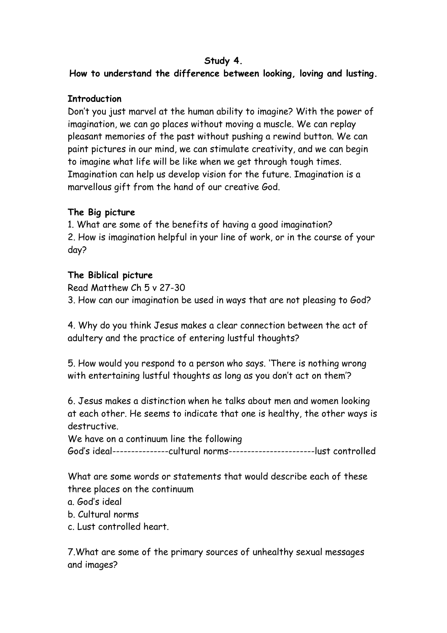## **Study 4.**

**How to understand the difference between looking, loving and lusting.**

### **Introduction**

Don't you just marvel at the human ability to imagine? With the power of imagination, we can go places without moving a muscle. We can replay pleasant memories of the past without pushing a rewind button. We can paint pictures in our mind, we can stimulate creativity, and we can begin to imagine what life will be like when we get through tough times. Imagination can help us develop vision for the future. Imagination is a marvellous gift from the hand of our creative God.

## **The Big picture**

1. What are some of the benefits of having a good imagination? 2. How is imagination helpful in your line of work, or in the course of your day?

## **The Biblical picture**

Read Matthew Ch 5 v 27-30 3. How can our imagination be used in ways that are not pleasing to God?

4. Why do you think Jesus makes a clear connection between the act of adultery and the practice of entering lustful thoughts?

5. How would you respond to a person who says. 'There is nothing wrong with entertaining lustful thoughts as long as you don't act on them'?

6. Jesus makes a distinction when he talks about men and women looking at each other. He seems to indicate that one is healthy, the other ways is destructive.

We have on a continuum line the following God's ideal---------------cultural norms-----------------------lust controlled

What are some words or statements that would describe each of these three places on the continuum

- a. God's ideal
- b. Cultural norms
- c. Lust controlled heart.

7.What are some of the primary sources of unhealthy sexual messages and images?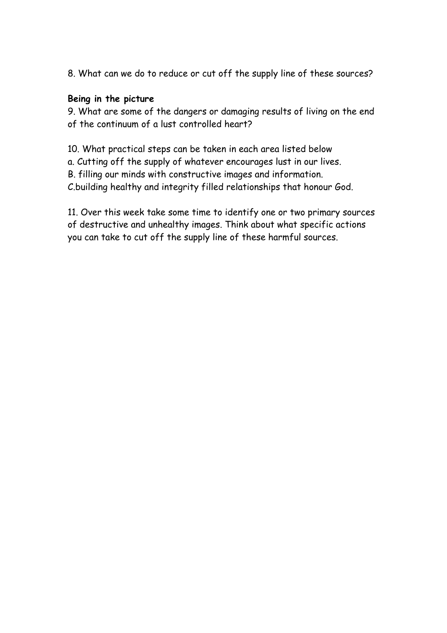8. What can we do to reduce or cut off the supply line of these sources?

#### **Being in the picture**

9. What are some of the dangers or damaging results of living on the end of the continuum of a lust controlled heart?

10. What practical steps can be taken in each area listed below a. Cutting off the supply of whatever encourages lust in our lives. B. filling our minds with constructive images and information. C.building healthy and integrity filled relationships that honour God.

11. Over this week take some time to identify one or two primary sources of destructive and unhealthy images. Think about what specific actions you can take to cut off the supply line of these harmful sources.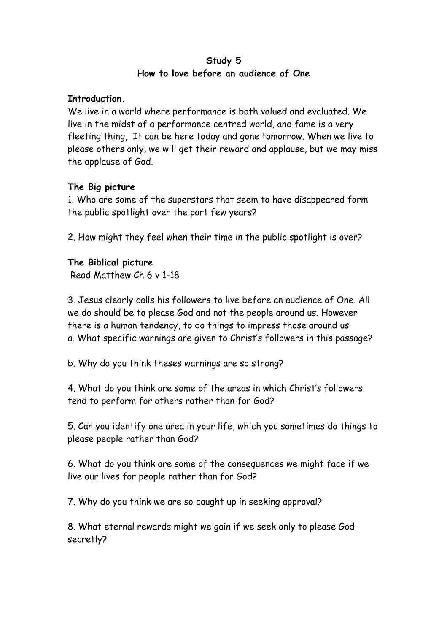### **Study 5 How to love before an audience of One**

#### **Introduction.**

We live in a world where performance is both valued and evaluated. We live in the midst of a performance centred world, and fame is a very fleeting thing, It can be here today and gone tomorrow. When we live to please others only, we will get their reward and applause, but we may miss the applause of God.

## **The Big picture**

1. Who are some of the superstars that seem to have disappeared form the public spotlight over the part few years?

2. How might they feel when their time in the public spotlight is over?

#### **The Biblical picture**

Read Matthew Ch 6 v 1-18

3. Jesus clearly calls his followers to live before an audience of One. All we do should be to please God and not the people around us. However there is a human tendency, to do things to impress those around us a. What specific warnings are given to Christ's followers in this passage?

b. Why do you think theses warnings are so strong?

4. What do you think are some of the areas in which Christ's followers tend to perform for others rather than for God?

5. Can you identify one area in your life, which you sometimes do things to please people rather than God?

6. What do you think are some of the consequences we might face if we live our lives for people rather than for God?

7. Why do you think we are so caught up in seeking approval?

8. What eternal rewards might we gain if we seek only to please God secretly?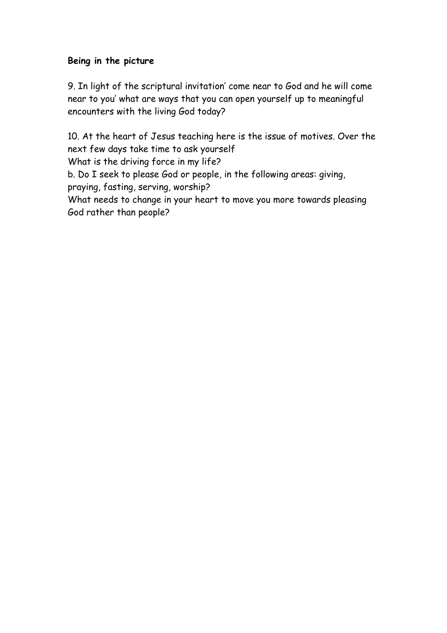## **Being in the picture**

9. In light of the scriptural invitation' come near to God and he will come near to you' what are ways that you can open yourself up to meaningful encounters with the living God today?

10. At the heart of Jesus teaching here is the issue of motives. Over the next few days take time to ask yourself What is the driving force in my life? b. Do I seek to please God or people, in the following areas: giving, praying, fasting, serving, worship? What needs to change in your heart to move you more towards pleasing God rather than people?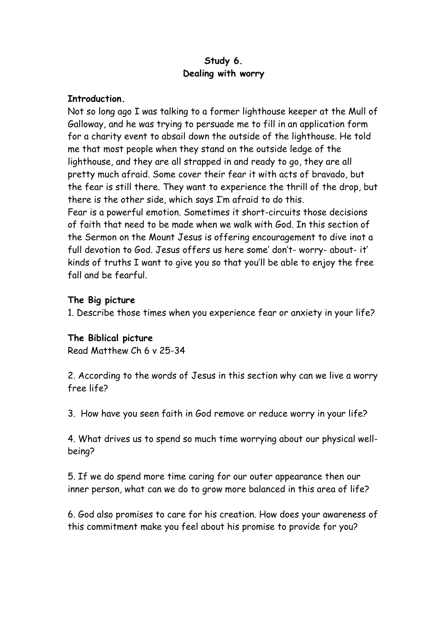## **Study 6. Dealing with worry**

#### **Introduction.**

Not so long ago I was talking to a former lighthouse keeper at the Mull of Galloway, and he was trying to persuade me to fill in an application form for a charity event to absail down the outside of the lighthouse. He told me that most people when they stand on the outside ledge of the lighthouse, and they are all strapped in and ready to go, they are all pretty much afraid. Some cover their fear it with acts of bravado, but the fear is still there. They want to experience the thrill of the drop, but there is the other side, which says I'm afraid to do this. Fear is a powerful emotion. Sometimes it short-circuits those decisions of faith that need to be made when we walk with God. In this section of the Sermon on the Mount Jesus is offering encouragement to dive inot a

full devotion to God. Jesus offers us here some' don't- worry- about- it' kinds of truths I want to give you so that you'll be able to enjoy the free fall and be fearful.

## **The Big picture**

1. Describe those times when you experience fear or anxiety in your life?

# **The Biblical picture**

Read Matthew Ch 6 v 25-34

2. According to the words of Jesus in this section why can we live a worry free life?

3. How have you seen faith in God remove or reduce worry in your life?

4. What drives us to spend so much time worrying about our physical wellbeing?

5. If we do spend more time caring for our outer appearance then our inner person, what can we do to grow more balanced in this area of life?

6. God also promises to care for his creation. How does your awareness of this commitment make you feel about his promise to provide for you?